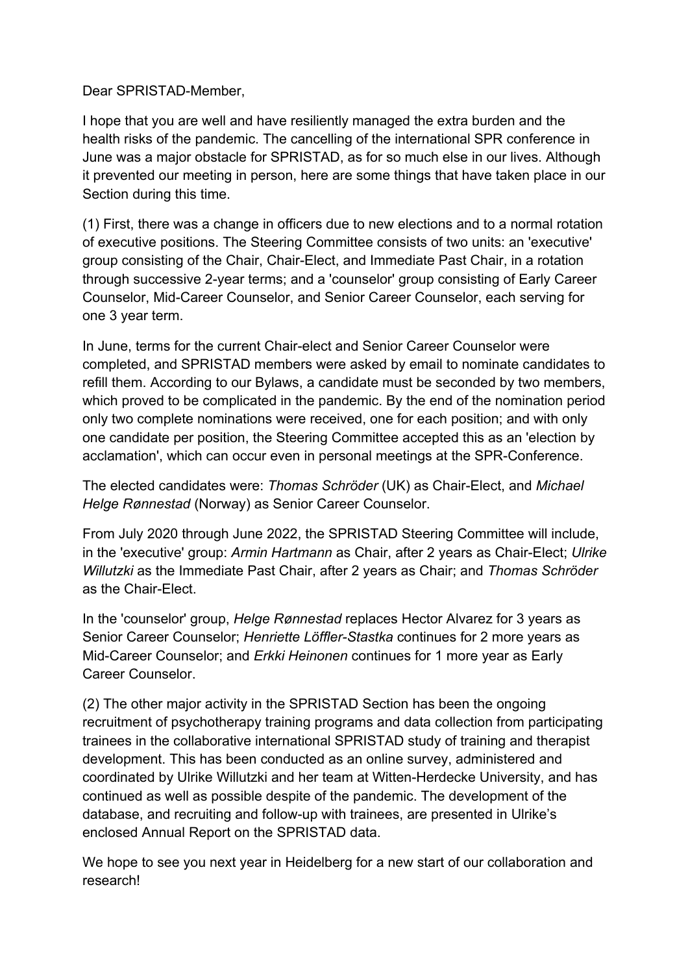Dear SPRISTAD-Member,

I hope that you are well and have resiliently managed the extra burden and the health risks of the pandemic. The cancelling of the international SPR conference in June was a major obstacle for SPRISTAD, as for so much else in our lives. Although it prevented our meeting in person, here are some things that have taken place in our Section during this time.

(1) First, there was a change in officers due to new elections and to a normal rotation of executive positions. The Steering Committee consists of two units: an 'executive' group consisting of the Chair, Chair-Elect, and Immediate Past Chair, in a rotation through successive 2-year terms; and a 'counselor' group consisting of Early Career Counselor, Mid-Career Counselor, and Senior Career Counselor, each serving for one 3 year term.

In June, terms for the current Chair-elect and Senior Career Counselor were completed, and SPRISTAD members were asked by email to nominate candidates to refill them. According to our Bylaws, a candidate must be seconded by two members, which proved to be complicated in the pandemic. By the end of the nomination period only two complete nominations were received, one for each position; and with only one candidate per position, the Steering Committee accepted this as an 'election by acclamation', which can occur even in personal meetings at the SPR-Conference.

The elected candidates were: *Thomas Schröder* (UK) as Chair-Elect, and *Michael Helge Rønnestad* (Norway) as Senior Career Counselor.

From July 2020 through June 2022, the SPRISTAD Steering Committee will include, in the 'executive' group: *Armin Hartmann* as Chair, after 2 years as Chair-Elect; *Ulrike Willutzki* as the Immediate Past Chair, after 2 years as Chair; and *Thomas Schröder* as the Chair-Elect.

In the 'counselor' group, *Helge Rønnestad* replaces Hector Alvarez for 3 years as Senior Career Counselor; *Henriette Löffler-Stastka* continues for 2 more years as Mid-Career Counselor; and *Erkki Heinonen* continues for 1 more year as Early Career Counselor.

(2) The other major activity in the SPRISTAD Section has been the ongoing recruitment of psychotherapy training programs and data collection from participating trainees in the collaborative international SPRISTAD study of training and therapist development. This has been conducted as an online survey, administered and coordinated by Ulrike Willutzki and her team at Witten-Herdecke University, and has continued as well as possible despite of the pandemic. The development of the database, and recruiting and follow-up with trainees, are presented in Ulrike's enclosed Annual Report on the SPRISTAD data.

We hope to see you next year in Heidelberg for a new start of our collaboration and research!